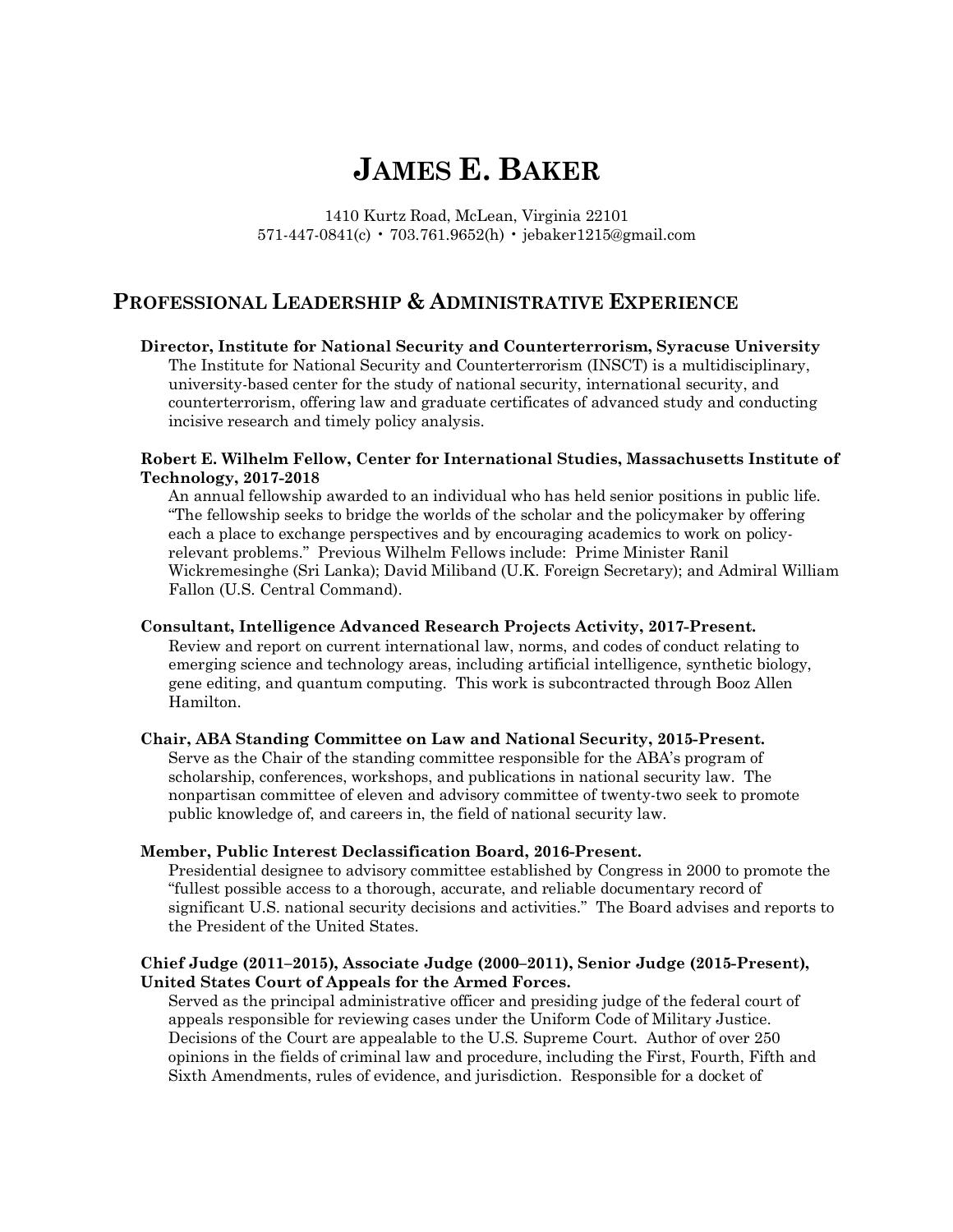# **JAMES E. BAKER**

1410 Kurtz Road, McLean, Virginia 22101 571-447-0841(c) • 703.761.9652(h) • jebaker1215@gmail.com

# **PROFESSIONAL LEADERSHIP & ADMINISTRATIVE EXPERIENCE PROFESSIONAL LEADERSHIP & ADMINISTRATIVE EXPERIENCE**<br>Director, Institute for National Security and Counterterrorism, Syracuse University

 The Institute for National Security and Counterterrorism (INSCT) is a multidisciplinary, university-based center for the study of national security, international security, and counterterrorism, offering law and graduate certificates of advanced study and conducting incisive research and timely policy analysis.

#### **Robert E. Wilhelm Fellow, Center for International Studies, Massachusetts Institute of Technology, 2017-2018**

 An annual fellowship awarded to an individual who has held senior positions in public life. "The fellowship seeks to bridge the worlds of the scholar and the policymaker by offering each a place to exchange perspectives and by encouraging academics to work on policy- relevant problems." Previous Wilhelm Fellows include: Prime Minister Ranil Wickremesinghe (Sri Lanka); David Miliband (U.K. Foreign Secretary); and Admiral William Fallon (U.S. Central Command).

#### **Consultant, Intelligence Advanced Research Projects Activity, 2017-Present.**

 Review and report on current international law, norms, and codes of conduct relating to emerging science and technology areas, including artificial intelligence, synthetic biology, gene editing, and quantum computing. This work is subcontracted through Booz Allen Hamilton.

#### **Chair, ABA Standing Committee on Law and National Security, 2015-Present.**

 Serve as the Chair of the standing committee responsible for the ABA's program of scholarship, conferences, workshops, and publications in national security law. The nonpartisan committee of eleven and advisory committee of twenty-two seek to promote public knowledge of, and careers in, the field of national security law.

#### **Member, Public Interest Declassification Board, 2016-Present.**

 Presidential designee to advisory committee established by Congress in 2000 to promote the "fullest possible access to a thorough, accurate, and reliable documentary record of significant U.S. national security decisions and activities." The Board advises and reports to the President of the United States.

#### **Chief Judge (2011–2015), Associate Judge (2000–2011), Senior Judge (2015-Present), United States Court of Appeals for the Armed Forces.**

 Served as the principal administrative officer and presiding judge of the federal court of appeals responsible for reviewing cases under the Uniform Code of Military Justice. Decisions of the Court are appealable to the U.S. Supreme Court. Author of over 250 opinions in the fields of criminal law and procedure, including the First, Fourth, Fifth and Sixth Amendments, rules of evidence, and jurisdiction. Responsible for a docket of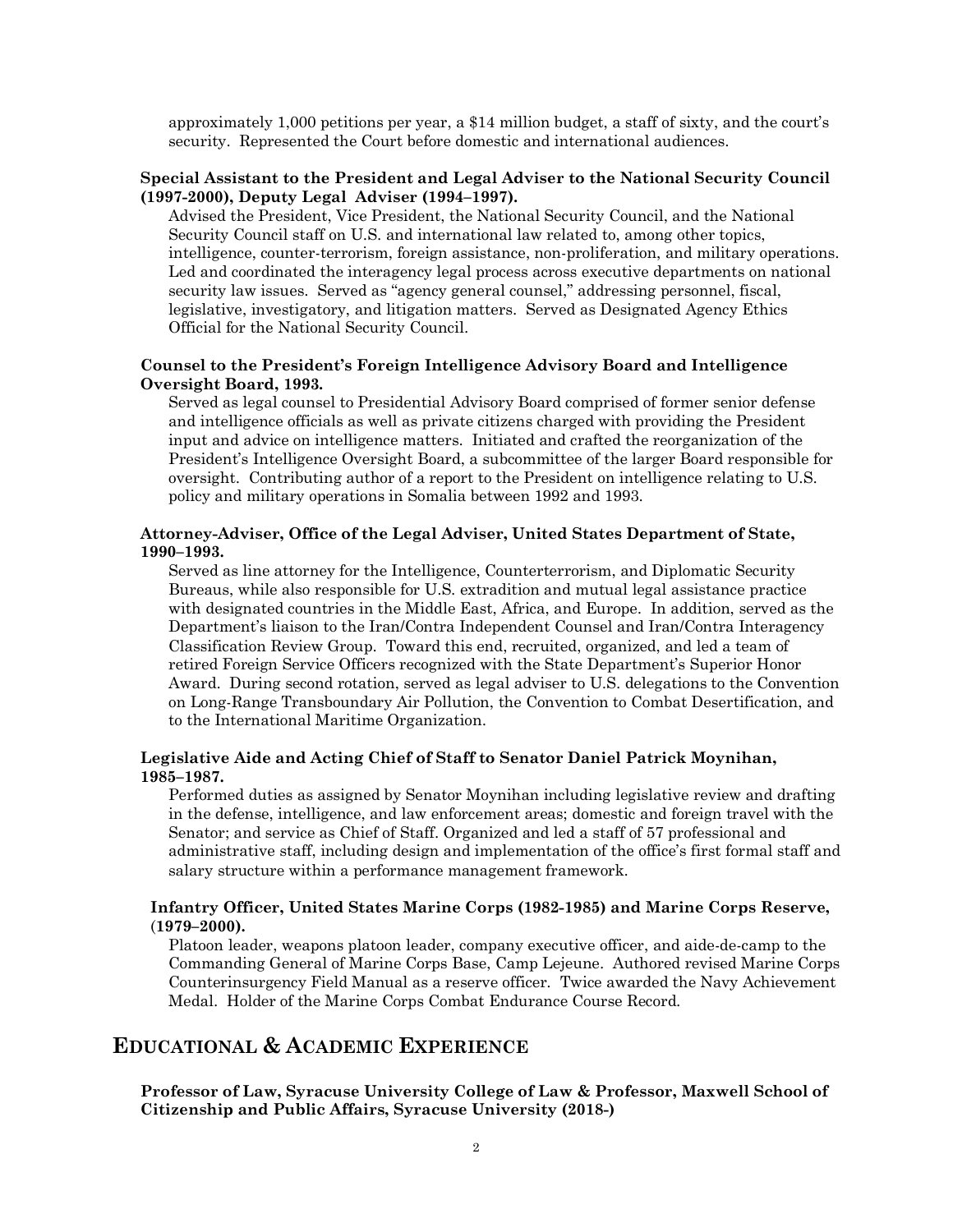approximately 1,000 petitions per year, a \$14 million budget, a staff of sixty, and the court's security. Represented the Court before domestic and international audiences.

#### **Special Assistant to the President and Legal Adviser to the National Security Council (1997-2000), Deputy Legal Adviser (1994–1997).**

 Advised the President, Vice President, the National Security Council, and the National Security Council staff on U.S. and international law related to, among other topics, intelligence, counter-terrorism, foreign assistance, non-proliferation, and military operations. Led and coordinated the interagency legal process across executive departments on national security law issues. Served as "agency general counsel," addressing personnel, fiscal, legislative, investigatory, and litigation matters. Served as Designated Agency Ethics Official for the National Security Council.

#### **Counsel to the President's Foreign Intelligence Advisory Board and Intelligence Oversight Board, 1993.**

 Served as legal counsel to Presidential Advisory Board comprised of former senior defense and intelligence officials as well as private citizens charged with providing the President input and advice on intelligence matters. Initiated and crafted the reorganization of the President's Intelligence Oversight Board, a subcommittee of the larger Board responsible for oversight. Contributing author of a report to the President on intelligence relating to U.S. policy and military operations in Somalia between 1992 and 1993.

#### **Attorney-Adviser, Office of the Legal Adviser, United States Department of State, 1990–1993.**

 Served as line attorney for the Intelligence, Counterterrorism, and Diplomatic Security Bureaus, while also responsible for U.S. extradition and mutual legal assistance practice with designated countries in the Middle East, Africa, and Europe. In addition, served as the Department's liaison to the Iran/Contra Independent Counsel and Iran/Contra Interagency Classification Review Group. Toward this end, recruited, organized, and led a team of retired Foreign Service Officers recognized with the State Department's Superior Honor Award. During second rotation, served as legal adviser to U.S. delegations to the Convention on Long-Range Transboundary Air Pollution, the Convention to Combat Desertification, and to the International Maritime Organization.

#### **Legislative Aide and Acting Chief of Staff to Senator Daniel Patrick Moynihan, 1985–1987.**

 Performed duties as assigned by Senator Moynihan including legislative review and drafting in the defense, intelligence, and law enforcement areas; domestic and foreign travel with the Senator; and service as Chief of Staff. Organized and led a staff of 57 professional and administrative staff, including design and implementation of the office's first formal staff and salary structure within a performance management framework.

#### **Infantry Officer, United States Marine Corps (1982-1985) and Marine Corps Reserve,** (**1979–2000).**

 Platoon leader, weapons platoon leader, company executive officer, and aide-de-camp to the Commanding General of Marine Corps Base, Camp Lejeune. Authored revised Marine Corps Counterinsurgency Field Manual as a reserve officer. Twice awarded the Navy Achievement Medal. Holder of the Marine Corps Combat Endurance Course Record.

## **EDUCATIONAL & ACADEMIC EXPERIENCE**

**EDUCATIONAL & ACADEMIC EXPERIENCE**<br>Professor of Law, Syracuse University College of Law & Professor, Maxwell School of  **Citizenship and Public Affairs, Syracuse University (2018-)**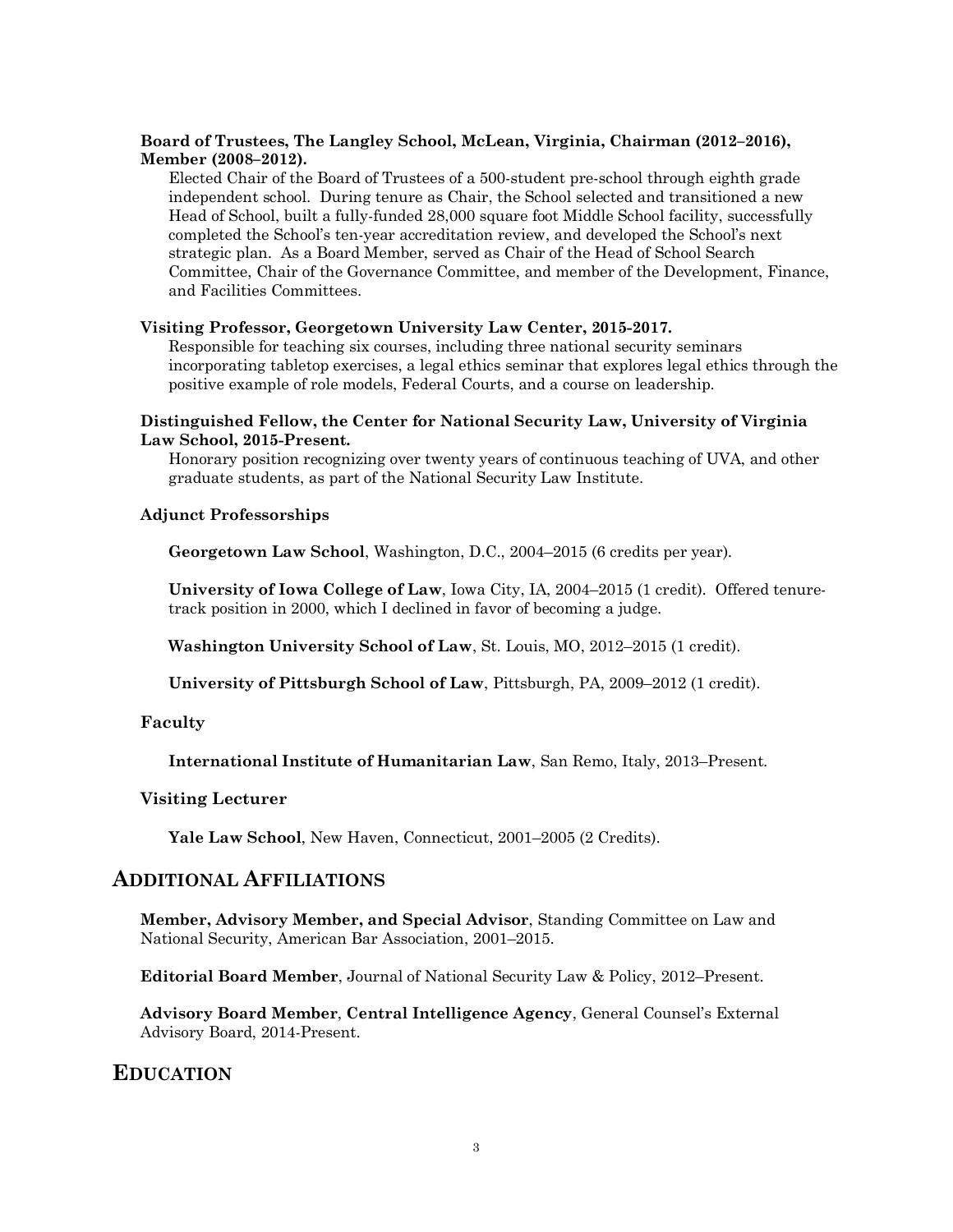#### **Board of Trustees, The Langley School, McLean, Virginia, Chairman (2012–2016), Member (2008–2012).**

 Elected Chair of the Board of Trustees of a 500-student pre-school through eighth grade independent school. During tenure as Chair, the School selected and transitioned a new Head of School, built a fully-funded 28,000 square foot Middle School facility, successfully completed the School's ten-year accreditation review, and developed the School's next strategic plan. As a Board Member, served as Chair of the Head of School Search Committee, Chair of the Governance Committee, and member of the Development, Finance, and Facilities Committees.

#### **Visiting Professor, Georgetown University Law Center, 2015-2017.**

 Responsible for teaching six courses, including three national security seminars incorporating tabletop exercises, a legal ethics seminar that explores legal ethics through the positive example of role models, Federal Courts, and a course on leadership.

#### **Distinguished Fellow, the Center for National Security Law, University of Virginia Law School, 2015-Present.**

 Honorary position recognizing over twenty years of continuous teaching of UVA, and other graduate students, as part of the National Security Law Institute.

#### **Adjunct Professorships**

 **Georgetown Law School**, Washington, D.C., 2004–2015 (6 credits per year).

 **University of Iowa College of Law**, Iowa City, IA, 2004–2015 (1 credit). Offered tenure-track position in 2000, which I declined in favor of becoming a judge.

 **Washington University School of Law**, St. Louis, MO, 2012–2015 (1 credit).

 **University of Pittsburgh School of Law**, Pittsburgh, PA, 2009–2012 (1 credit).

#### **Faculty**

 **International Institute of Humanitarian Law**, San Remo, Italy, 2013–Present.

#### **Visiting Lecturer**

**Yale Law School**, New Haven, Connecticut, 2001–2005 (2 Credits).

#### **ADDITIONAL AFFILIATIONS**

 **Member, Advisory Member, and Special Advisor**, Standing Committee on Law and National Security, American Bar Association, 2001–2015.

 **Editorial Board Member**, Journal of National Security Law & Policy, 2012–Present.

 **Advisory Board Member**, **Central Intelligence Agency**, General Counsel's External Advisory Board, 2014-Present.

#### **EDUCATION**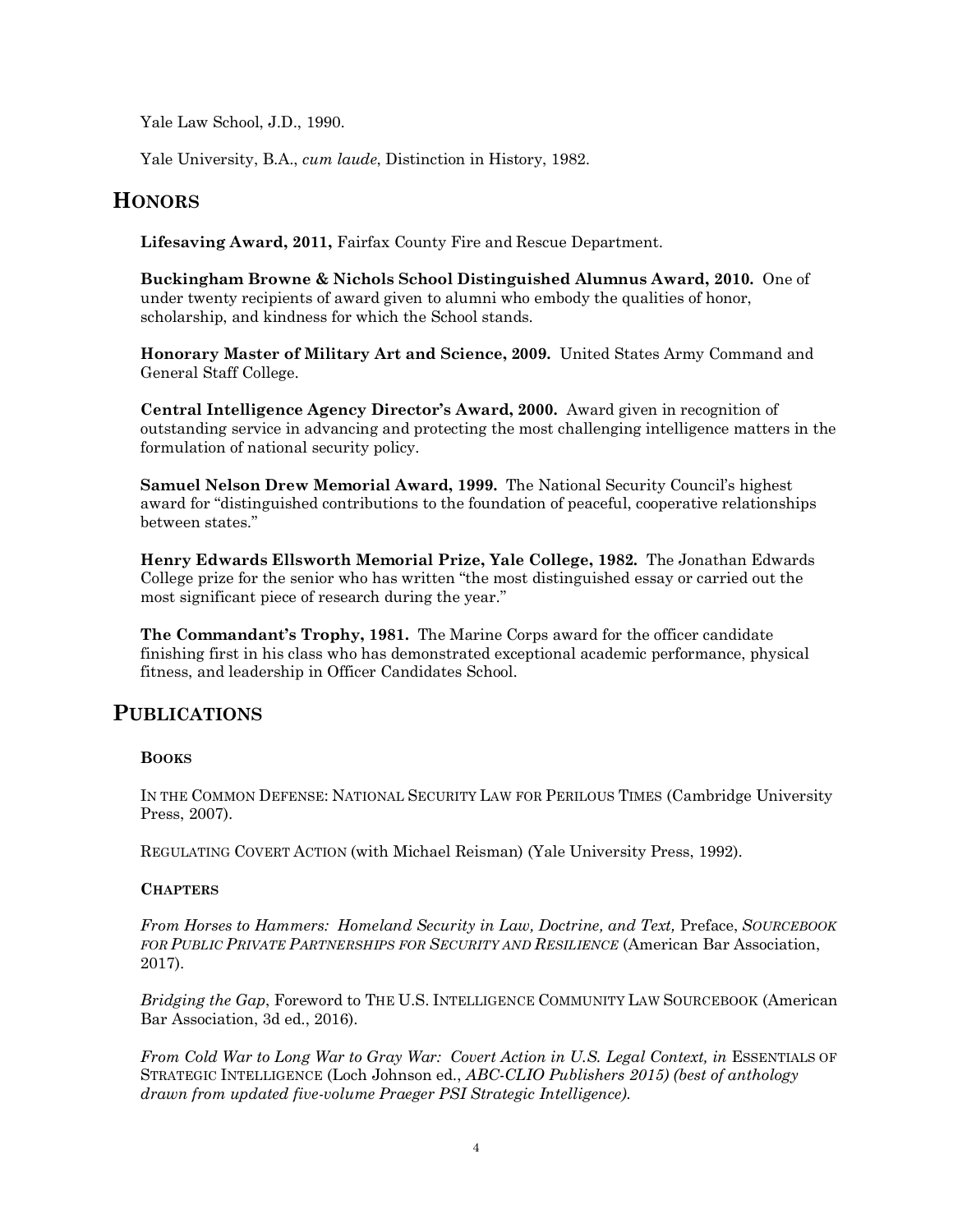Yale Law School, J.D., 1990.

Yale University, B.A., *cum laude*, Distinction in History, 1982.

# **HONORS**

 **Lifesaving Award, 2011,** Fairfax County Fire and Rescue Department.

 **Buckingham Browne & Nichols School Distinguished Alumnus Award, 2010.** One of under twenty recipients of award given to alumni who embody the qualities of honor, scholarship, and kindness for which the School stands.

 **Honorary Master of Military Art and Science, 2009.** United States Army Command and General Staff College.

 **Central Intelligence Agency Director's Award, 2000.** Award given in recognition of outstanding service in advancing and protecting the most challenging intelligence matters in the formulation of national security policy.

 **Samuel Nelson Drew Memorial Award, 1999.** The National Security Council's highest award for "distinguished contributions to the foundation of peaceful, cooperative relationships between states."

 **Henry Edwards Ellsworth Memorial Prize, Yale College, 1982.** The Jonathan Edwards College prize for the senior who has written "the most distinguished essay or carried out the most significant piece of research during the year."

 **The Commandant's Trophy, 1981.** The Marine Corps award for the officer candidate finishing first in his class who has demonstrated exceptional academic performance, physical fitness, and leadership in Officer Candidates School.

# **PUBLICATIONS**

### **BOOKS**

 IN THE COMMON DEFENSE: NATIONAL SECURITY LAW FOR PERILOUS TIMES (Cambridge University Press, 2007).

REGULATING COVERT ACTION (with Michael Reisman) (Yale University Press, 1992).

### **CHAPTERS**

 *From Horses to Hammers: Homeland Security in Law, Doctrine, and Text,* Preface, *SOURCEBOOK FOR PUBLIC PRIVATE PARTNERSHIPS FOR SECURITY AND RESILIENCE* (American Bar Association, 2017).

 *Bridging the Gap*, Foreword to THE U.S. INTELLIGENCE COMMUNITY LAW SOURCEBOOK (American Bar Association, 3d ed., 2016).

*From Cold War to Long War to Gray War: Covert Action in U.S. Legal Context, in ESSENTIALS OF*  STRATEGIC INTELLIGENCE (Loch Johnson ed., *ABC-CLIO Publishers 2015) (best of anthology drawn from updated five-volume Praeger PSI Strategic Intelligence).*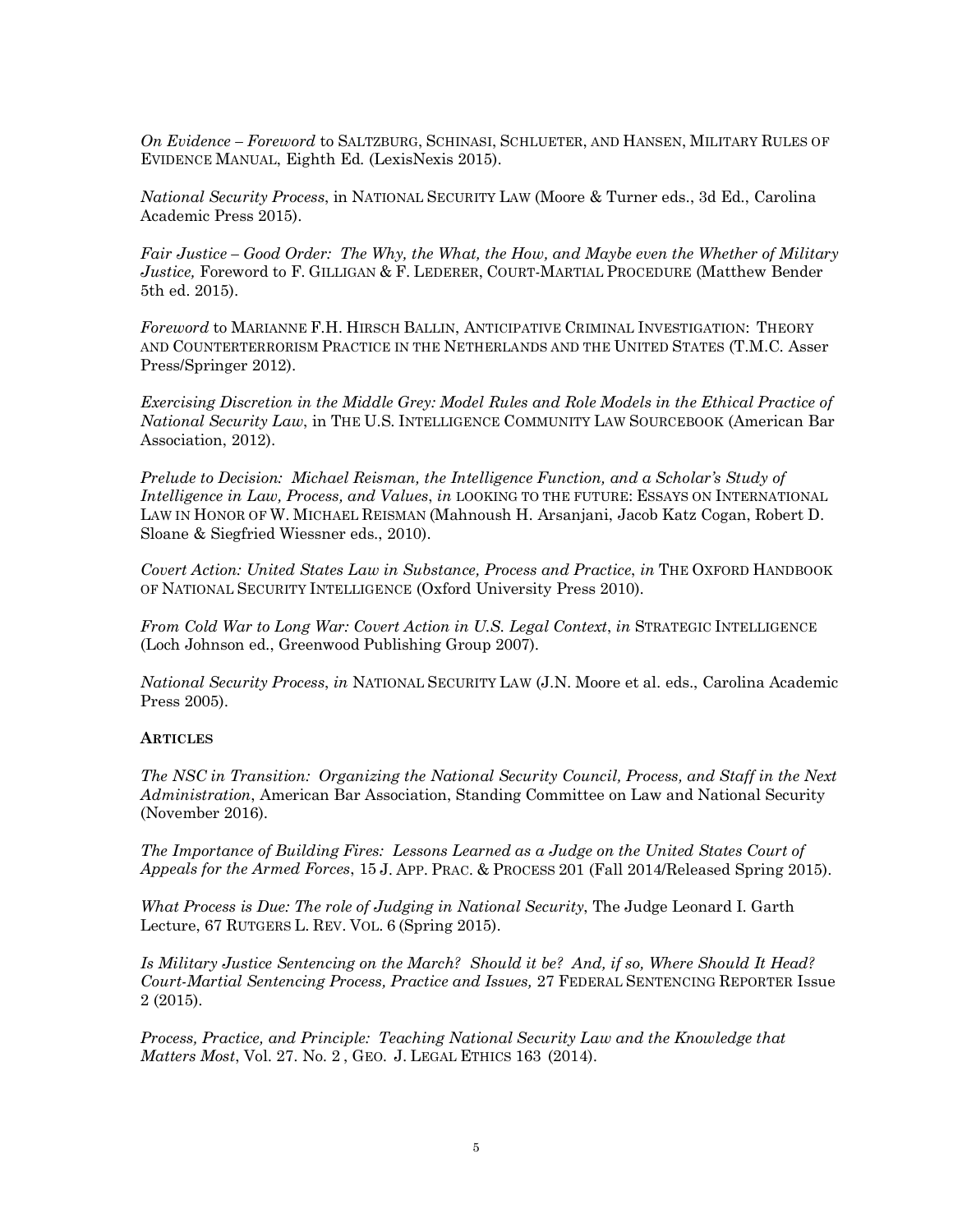*On Evidence – Foreword* to SALTZBURG, SCHINASI, SCHLUETER, AND HANSEN, MILITARY RULES OF EVIDENCE MANUAL, Eighth Ed. (LexisNexis 2015).

 *National Security Process*, in NATIONAL SECURITY LAW (Moore & Turner eds., 3d Ed., Carolina Academic Press 2015).

 *Fair Justice – Good Order: The Why, the What, the How, and Maybe even the Whether of Military Justice,* Foreword to F. GILLIGAN & F. LEDERER, COURT-MARTIAL PROCEDURE (Matthew Bender 5th ed. 2015).

 *Foreword* to MARIANNE F.H. HIRSCH BALLIN, ANTICIPATIVE CRIMINAL INVESTIGATION: THEORY AND COUNTERTERRORISM PRACTICE IN THE NETHERLANDS AND THE UNITED STATES (T.M.C. Asser Press/Springer 2012).

 *Exercising Discretion in the Middle Grey: Model Rules and Role Models in the Ethical Practice of National Security Law*, in THE U.S. INTELLIGENCE COMMUNITY LAW SOURCEBOOK (American Bar Association, 2012).

 *Prelude to Decision: Michael Reisman, the Intelligence Function, and a Scholar's Study of Intelligence in Law, Process, and Values*, *in* LOOKING TO THE FUTURE: ESSAYS ON INTERNATIONAL LAW IN HONOR OF W. MICHAEL REISMAN (Mahnoush H. Arsanjani, Jacob Katz Cogan, Robert D. Sloane & Siegfried Wiessner eds., 2010).

 *Covert Action: United States Law in Substance, Process and Practice*, *in* THE OXFORD HANDBOOK OF NATIONAL SECURITY INTELLIGENCE (Oxford University Press 2010).

 *From Cold War to Long War: Covert Action in U.S. Legal Context*, *in* STRATEGIC INTELLIGENCE (Loch Johnson ed., Greenwood Publishing Group 2007).

 *National Security Process*, *in* NATIONAL SECURITY LAW (J.N. Moore et al. eds., Carolina Academic Press 2005).

#### **ARTICLES**

 *The NSC in Transition: Organizing the National Security Council, Process, and Staff in the Next Administration*, American Bar Association, Standing Committee on Law and National Security (November 2016).

 *The Importance of Building Fires: Lessons Learned as a Judge on the United States Court of Appeals for the Armed Forces*, 15 J. APP. PRAC. & PROCESS 201 (Fall 2014/Released Spring 2015).

 *What Process is Due: The role of Judging in National Security*, The Judge Leonard I. Garth Lecture, 67 RUTGERS L. REV. VOL. 6 (Spring 2015).

 *Is Military Justice Sentencing on the March? Should it be? And, if so, Where Should It Head? Court-Martial Sentencing Process, Practice and Issues,* 27 FEDERAL SENTENCING REPORTER Issue 2 (2015).

 *Process, Practice, and Principle: Teaching National Security Law and the Knowledge that Matters Most*, Vol. 27. No. 2 , GEO. J. LEGAL ETHICS 163 (2014).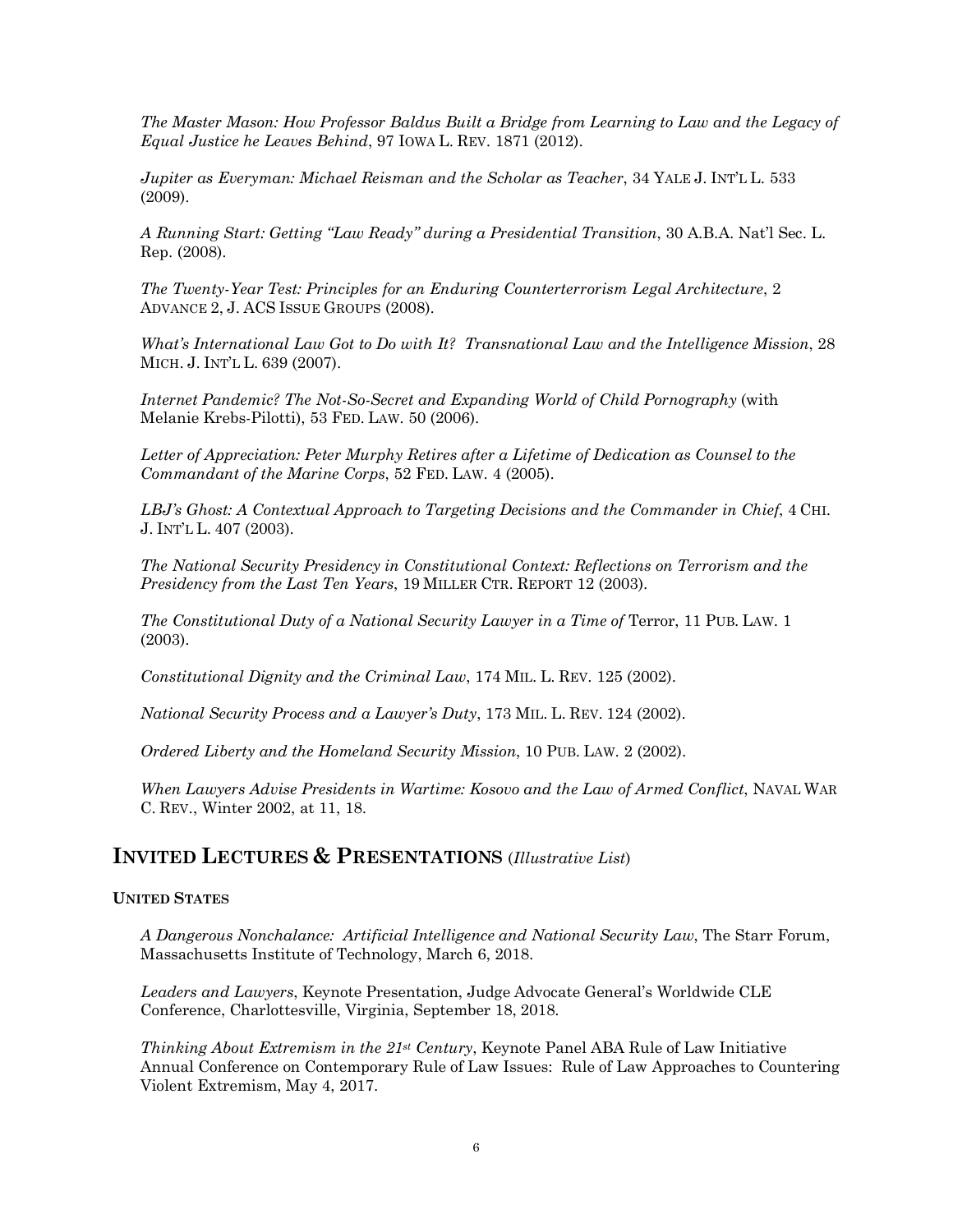*The Master Mason: How Professor Baldus Built a Bridge from Learning to Law and the Legacy of Equal Justice he Leaves Behind*, 97 IOWA L. REV. 1871 (2012).

 *Jupiter as Everyman: Michael Reisman and the Scholar as Teacher*, 34 YALE J. INT'L L. 533 (2009).

 *A Running Start: Getting "Law Ready" during a Presidential Transition*, 30 A.B.A. Nat'l Sec. L. Rep. (2008).

 *The Twenty-Year Test: Principles for an Enduring Counterterrorism Legal Architecture*, 2 ADVANCE 2, J. ACS ISSUE GROUPS (2008).

 *What's International Law Got to Do with It? Transnational Law and the Intelligence Mission*, 28 MICH. J. INT'L L. 639 (2007).

 *Internet Pandemic? The Not-So-Secret and Expanding World of Child Pornography* (with Melanie Krebs-Pilotti), 53 FED. LAW. 50 (2006).

 *Letter of Appreciation: Peter Murphy Retires after a Lifetime of Dedication as Counsel to the Commandant of the Marine Corps*, 52 FED. LAW. 4 (2005).

 *LBJ's Ghost: A Contextual Approach to Targeting Decisions and the Commander in Chief*, 4 CHI. J. INT'L L. 407 (2003).

 *The National Security Presidency in Constitutional Context: Reflections on Terrorism and the Presidency from the Last Ten Years*, 19 MILLER CTR. REPORT 12 (2003).

*The Constitutional Duty of a National Security Lawyer in a Time of Terror, 11 PUB. LAW. 1* (2003).

 *Constitutional Dignity and the Criminal Law*, 174 MIL. L. REV. 125 (2002).

 *National Security Process and a Lawyer's Duty*, 173 MIL. L. REV. 124 (2002).

 *Ordered Liberty and the Homeland Security Mission*, 10 PUB. LAW. 2 (2002).

 *When Lawyers Advise Presidents in Wartime: Kosovo and the Law of Armed Conflict*, NAVAL WAR C. REV., Winter 2002, at 11, 18.

## **INVITED LECTURES & PRESENTATIONS** (*Illustrative List*)

#### **UNITED STATES**

 *A Dangerous Nonchalance: Artificial Intelligence and National Security Law*, The Starr Forum, Massachusetts Institute of Technology, March 6, 2018.

 *Leaders and Lawyers*, Keynote Presentation, Judge Advocate General's Worldwide CLE Conference, Charlottesville, Virginia, September 18, 2018.

 *Thinking About Extremism in the 21st Century*, Keynote Panel ABA Rule of Law Initiative Annual Conference on Contemporary Rule of Law Issues: Rule of Law Approaches to Countering Violent Extremism, May 4, 2017.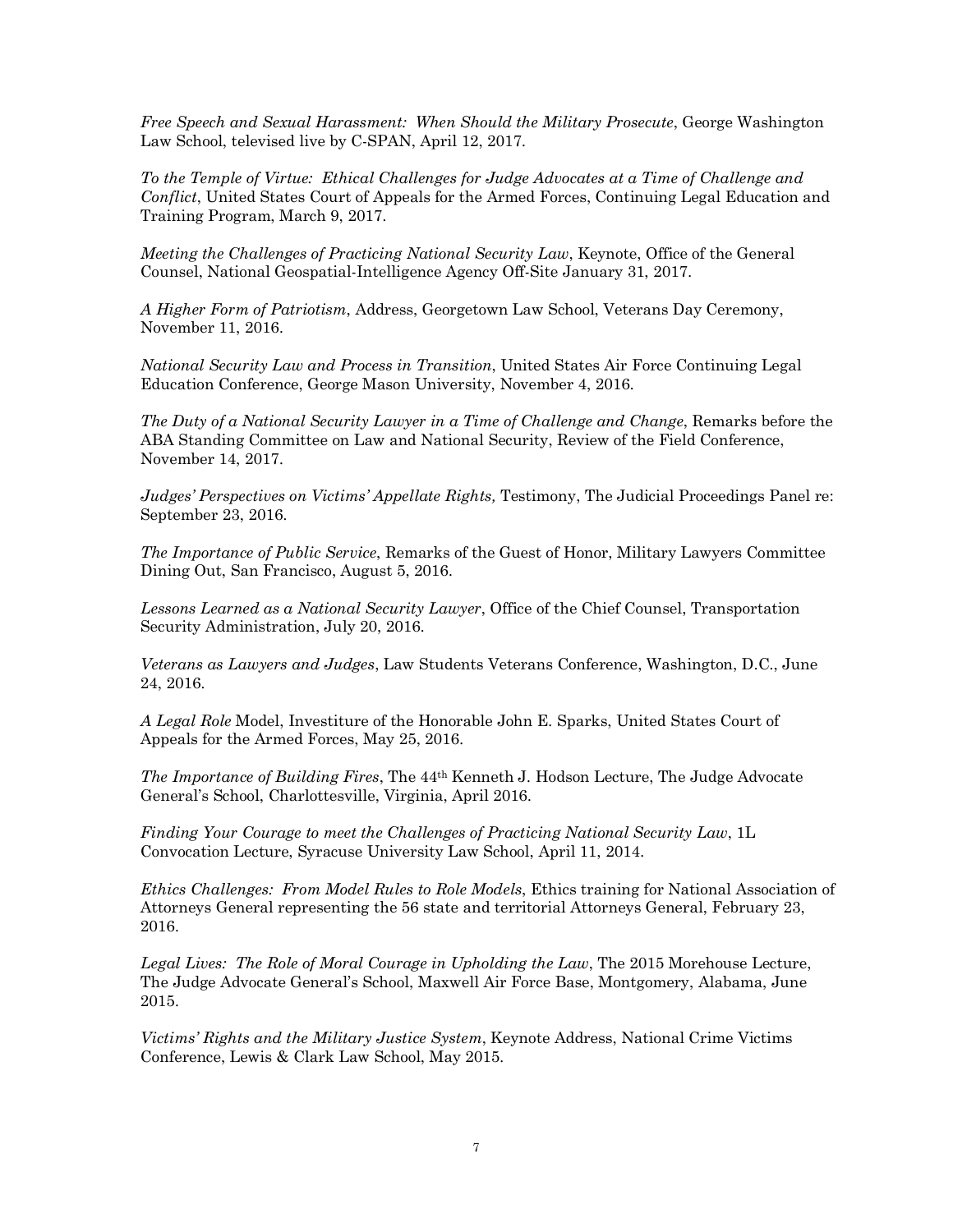*Free Speech and Sexual Harassment: When Should the Military Prosecute*, George Washington Law School, televised live by C-SPAN, April 12, 2017.

 *To the Temple of Virtue: Ethical Challenges for Judge Advocates at a Time of Challenge and Conflict*, United States Court of Appeals for the Armed Forces, Continuing Legal Education and Training Program, March 9, 2017.

 *Meeting the Challenges of Practicing National Security Law*, Keynote, Office of the General Counsel, National Geospatial-Intelligence Agency Off-Site January 31, 2017.

 *A Higher Form of Patriotism*, Address, Georgetown Law School, Veterans Day Ceremony, November 11, 2016.

 *National Security Law and Process in Transition*, United States Air Force Continuing Legal Education Conference, George Mason University, November 4, 2016.

 *The Duty of a National Security Lawyer in a Time of Challenge and Change*, Remarks before the ABA Standing Committee on Law and National Security, Review of the Field Conference, November 14, 2017.

 *Judges' Perspectives on Victims' Appellate Rights,* Testimony, The Judicial Proceedings Panel re: September 23, 2016.

 *The Importance of Public Service*, Remarks of the Guest of Honor, Military Lawyers Committee Dining Out, San Francisco, August 5, 2016.

 *Lessons Learned as a National Security Lawyer*, Office of the Chief Counsel, Transportation Security Administration, July 20, 2016.

 *Veterans as Lawyers and Judges*, Law Students Veterans Conference, Washington, D.C., June 24, 2016.

 *A Legal Role* Model, Investiture of the Honorable John E. Sparks, United States Court of Appeals for the Armed Forces, May 25, 2016.

 *The Importance of Building Fires*, The 44th Kenneth J. Hodson Lecture, The Judge Advocate General's School, Charlottesville, Virginia, April 2016.

 *Finding Your Courage to meet the Challenges of Practicing National Security Law*, 1L Convocation Lecture, Syracuse University Law School, April 11, 2014.

 *Ethics Challenges: From Model Rules to Role Models*, Ethics training for National Association of Attorneys General representing the 56 state and territorial Attorneys General, February 23, 2016.

 *Legal Lives: The Role of Moral Courage in Upholding the Law*, The 2015 Morehouse Lecture, The Judge Advocate General's School, Maxwell Air Force Base, Montgomery, Alabama, June 2015.

 *Victims' Rights and the Military Justice System*, Keynote Address, National Crime Victims Conference, Lewis & Clark Law School, May 2015.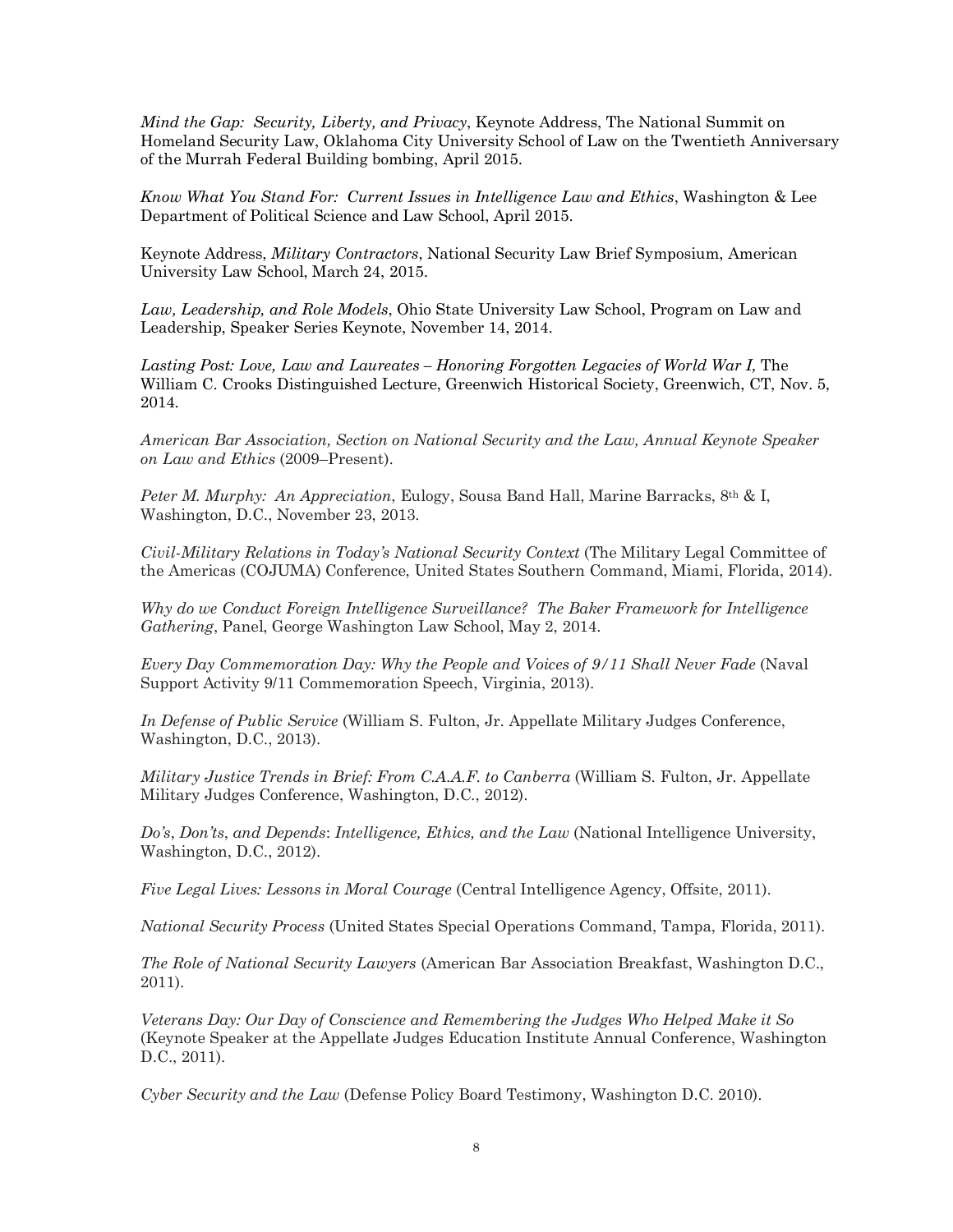*Mind the Gap: Security, Liberty, and Privacy*, Keynote Address, The National Summit on Homeland Security Law, Oklahoma City University School of Law on the Twentieth Anniversary of the Murrah Federal Building bombing, April 2015.

 *Know What You Stand For: Current Issues in Intelligence Law and Ethics*, Washington & Lee Department of Political Science and Law School, April 2015.

 Keynote Address, *Military Contractors*, National Security Law Brief Symposium, American University Law School, March 24, 2015.

 *Law, Leadership, and Role Models*, Ohio State University Law School, Program on Law and Leadership, Speaker Series Keynote, November 14, 2014.

Lasting Post: Love, Law and Laureates – Honoring Forgotten Legacies of World War I, The William C. Crooks Distinguished Lecture, Greenwich Historical Society, Greenwich, CT, Nov. 5, 2014.

 *American Bar Association, Section on National Security and the Law, Annual Keynote Speaker on Law and Ethics* (2009–Present).

 *Peter M. Murphy: An Appreciation*, Eulogy, Sousa Band Hall, Marine Barracks, 8th & I, Washington, D.C., November 23, 2013.

 *Civil-Military Relations in Today's National Security Context* (The Military Legal Committee of the Americas (COJUMA) Conference, United States Southern Command, Miami, Florida, 2014).

 *Why do we Conduct Foreign Intelligence Surveillance? The Baker Framework for Intelligence Gathering*, Panel, George Washington Law School, May 2, 2014.

 *Every Day Commemoration Day: Why the People and Voices of 9/11 Shall Never Fade* (Naval Support Activity 9/11 Commemoration Speech, Virginia, 2013).

 *In Defense of Public Service* (William S. Fulton, Jr. Appellate Military Judges Conference, Washington, D.C., 2013).

 *Military Justice Trends in Brief: From C.A.A.F. to Canberra* (William S. Fulton, Jr. Appellate Military Judges Conference, Washington, D.C., 2012).

 *Do's*, *Don'ts*, *and Depends*: *Intelligence, Ethics, and the Law* (National Intelligence University, Washington, D.C., 2012).

 *Five Legal Lives: Lessons in Moral Courage* (Central Intelligence Agency, Offsite, 2011).

*National Security Process* (United States Special Operations Command, Tampa, Florida, 2011).

 *The Role of National Security Lawyers* (American Bar Association Breakfast, Washington D.C., 2011).

 *Veterans Day: Our Day of Conscience and Remembering the Judges Who Helped Make it So* (Keynote Speaker at the Appellate Judges Education Institute Annual Conference, Washington D.C., 2011).

 *Cyber Security and the Law* (Defense Policy Board Testimony, Washington D.C. 2010).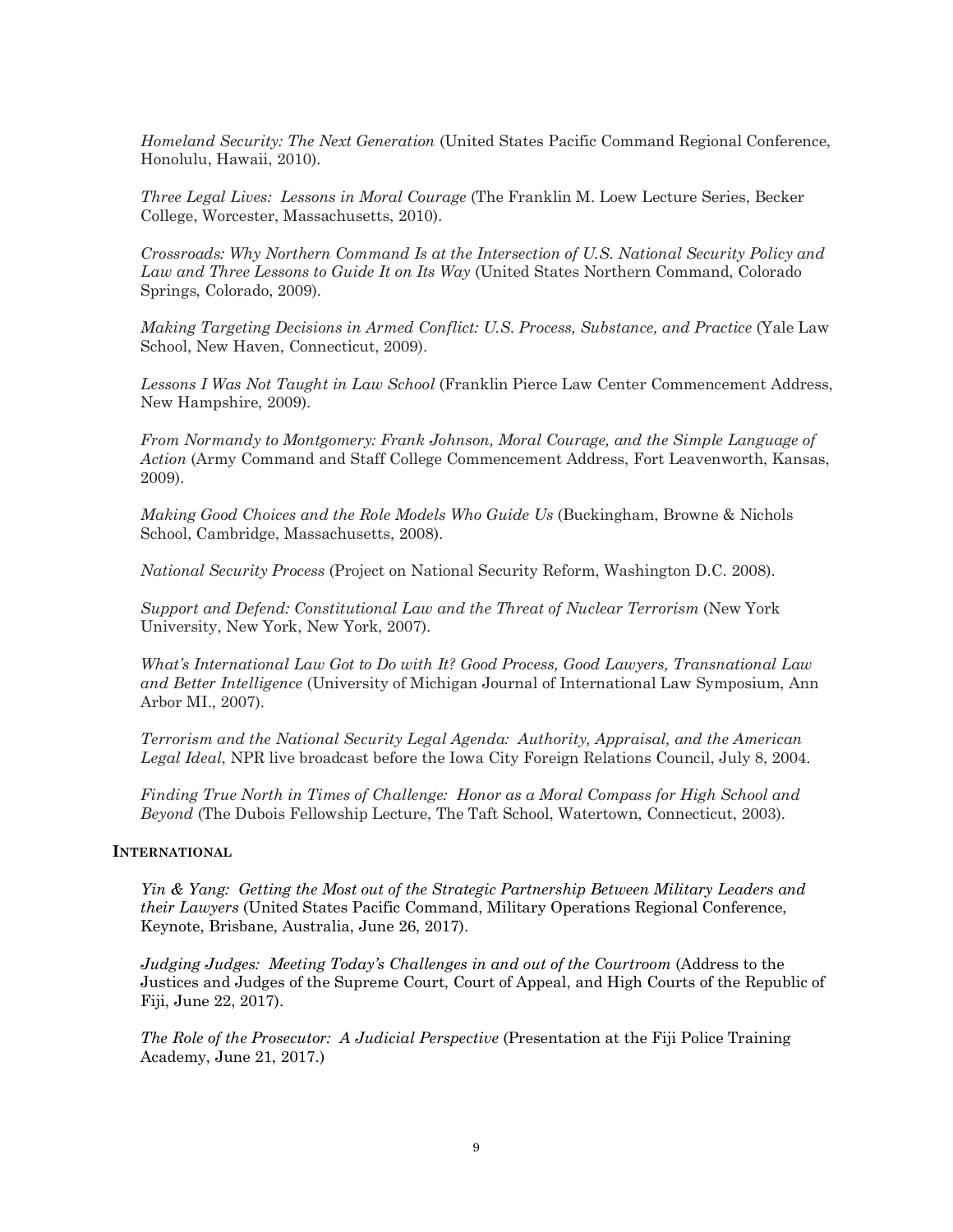*Homeland Security: The Next Generation* (United States Pacific Command Regional Conference, Honolulu, Hawaii, 2010).

 *Three Legal Lives: Lessons in Moral Courage* (The Franklin M. Loew Lecture Series, Becker College, Worcester, Massachusetts, 2010).

 *Crossroads: Why Northern Command Is at the Intersection of U.S. National Security Policy and*  Law and Three Lessons to Guide It on Its Way (United States Northern Command, Colorado Springs, Colorado, 2009).

*Making Targeting Decisions in Armed Conflict: U.S. Process, Substance, and Practice (Yale Law* School, New Haven, Connecticut, 2009).

 *Lessons I Was Not Taught in Law School* (Franklin Pierce Law Center Commencement Address, New Hampshire, 2009).

 *From Normandy to Montgomery: Frank Johnson, Moral Courage, and the Simple Language of Action* (Army Command and Staff College Commencement Address, Fort Leavenworth, Kansas, 2009).

 *Making Good Choices and the Role Models Who Guide Us* (Buckingham, Browne & Nichols School, Cambridge, Massachusetts, 2008).

*National Security Process* (Project on National Security Reform, Washington D.C. 2008).

 *Support and Defend: Constitutional Law and the Threat of Nuclear Terrorism* (New York University, New York, New York, 2007).

 *What's International Law Got to Do with It? Good Process, Good Lawyers, Transnational Law and Better Intelligence* (University of Michigan Journal of International Law Symposium, Ann Arbor MI., 2007).

 *Terrorism and the National Security Legal Agenda: Authority, Appraisal, and the American Legal Ideal*, NPR live broadcast before the Iowa City Foreign Relations Council, July 8, 2004.

 *Finding True North in Times of Challenge: Honor as a Moral Compass for High School and Beyond* (The Dubois Fellowship Lecture, The Taft School, Watertown, Connecticut, 2003).

#### **INTERNATIONAL**

 *Yin & Yang: Getting the Most out of the Strategic Partnership Between Military Leaders and their Lawyers* (United States Pacific Command, Military Operations Regional Conference, Keynote, Brisbane, Australia, June 26, 2017).

 *Judging Judges: Meeting Today's Challenges in and out of the Courtroom* (Address to the Justices and Judges of the Supreme Court, Court of Appeal, and High Courts of the Republic of Fiji, June 22, 2017).

 *The Role of the Prosecutor: A Judicial Perspective* (Presentation at the Fiji Police Training Academy, June 21, 2017.)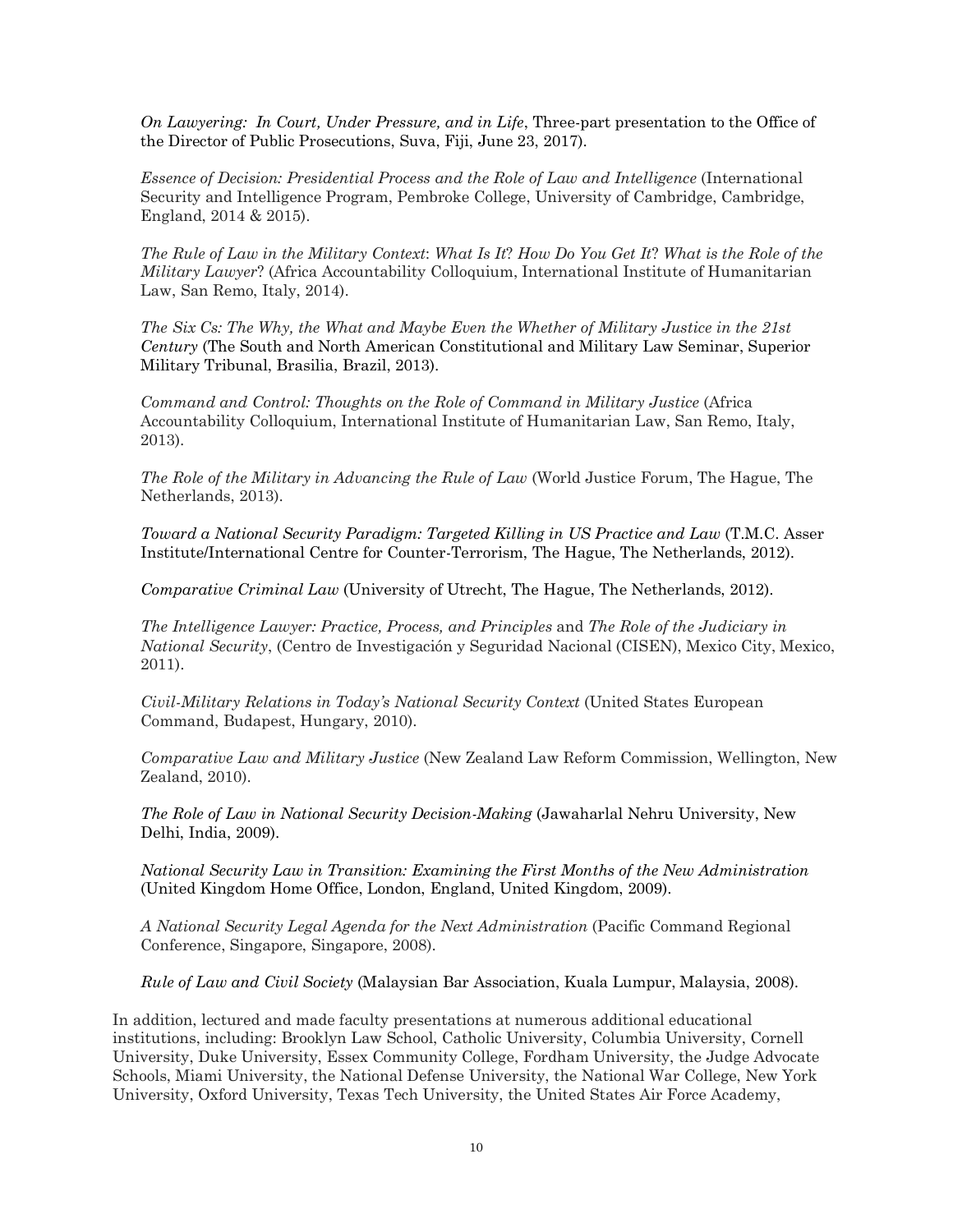*On Lawyering: In Court, Under Pressure, and in Life*, Three-part presentation to the Office of the Director of Public Prosecutions, Suva, Fiji, June 23, 2017).

*Essence of Decision: Presidential Process and the Role of Law and Intelligence* **(International**  Security and Intelligence Program, Pembroke College, University of Cambridge, Cambridge, England, 2014 & 2015).

 *The Rule of Law in the Military Context*: *What Is It*? *How Do You Get It*? *What is the Role of the Military Lawyer*? (Africa Accountability Colloquium, International Institute of Humanitarian Law, San Remo, Italy, 2014).

 *The Six Cs: The Why, the What and Maybe Even the Whether of Military Justice in the 21st Century* (The South and North American Constitutional and Military Law Seminar, Superior Military Tribunal, Brasilia, Brazil, 2013).

 *Command and Control: Thoughts on the Role of Command in Military Justice* (Africa Accountability Colloquium, International Institute of Humanitarian Law, San Remo, Italy, 2013).

 *The Role of the Military in Advancing the Rule of Law* (World Justice Forum, The Hague, The Netherlands, 2013).

 *Toward a National Security Paradigm: Targeted Killing in US Practice and Law* (T.M.C. Asser Institute/International Centre for Counter-Terrorism, The Hague, The Netherlands, 2012).

*Comparative Criminal Law* (University of Utrecht, The Hague, The Netherlands, 2012).

 *The Intelligence Lawyer: Practice, Process, and Principles* and *The Role of the Judiciary in National Security*, (Centro de Investigación y Seguridad Nacional (CISEN), Mexico City, Mexico, 2011).

 *Civil-Military Relations in Today's National Security Context* (United States European Command, Budapest, Hungary, 2010).

 *Comparative Law and Military Justice* (New Zealand Law Reform Commission, Wellington, New Zealand, 2010).

 *The Role of Law in National Security Decision-Making* (Jawaharlal Nehru University, New Delhi, India, 2009).

 *National Security Law in Transition: Examining the First Months of the New Administration* (United Kingdom Home Office, London, England, United Kingdom, 2009).

 *A National Security Legal Agenda for the Next Administration* (Pacific Command Regional Conference, Singapore, Singapore, 2008).

 *Rule of Law and Civil Society* (Malaysian Bar Association, Kuala Lumpur, Malaysia, 2008).

 In addition, lectured and made faculty presentations at numerous additional educational institutions, including: Brooklyn Law School, Catholic University, Columbia University, Cornell University, Duke University, Essex Community College, Fordham University, the Judge Advocate Schools, Miami University, the National Defense University, the National War College, New York University, Oxford University, Texas Tech University, the United States Air Force Academy,